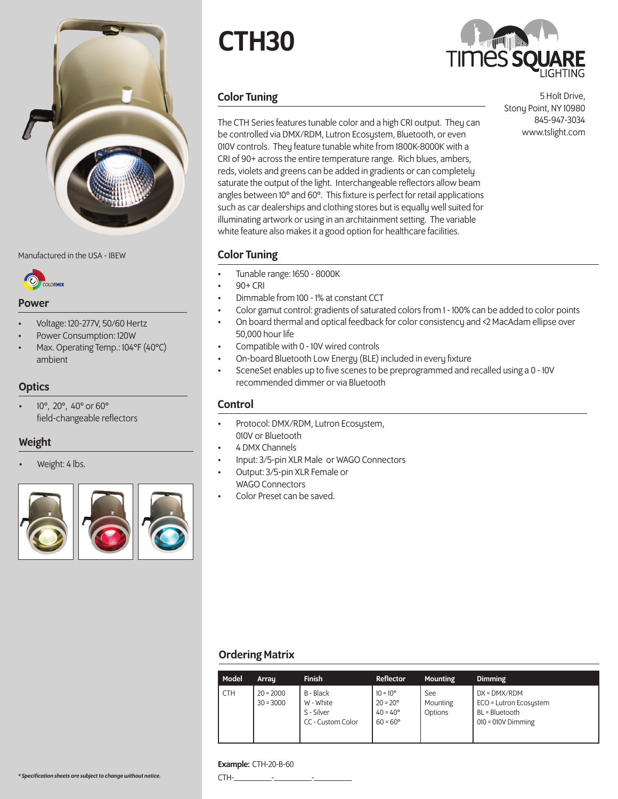

Manufactured in the USA - IBEW **Color Tuning** 



#### Power

- Voltage: 120-277V, 50/60 Hertz
- Power Consumption: 120W
- Max. Operating Temp.: 104°F (40°C) ambient

# **Optics**

• 10°, 20°, 40° or 60° field-changeable reflectors

## Weight

Weight: 4 lbs.



# CTH30



# Color Tuning

The CTH Series features tunable color and a high CRI output. They can be controlled via DMX/RDM, Lutron Ecosystem, Bluetooth, or even 010V controls. They feature tunable white from 1800K-8000K with a CRI of 90+ across the entire temperature range. Rich blues, ambers, reds, violets and greens can be added in gradients or can completely saturate the output of the light. Interchangeable reflectors allow beam angles between 10° and 60°. This fixture is perfect for retail applications such as car dealerships and clothing stores but is equally well suited for illuminating artwork or using in an architainment setting. The variable white feature also makes it a good option for healthcare facilities.

5 Holt Drive, Stony Point, NY 10980 845-947-3034 www.tslight.com

- Tunable range: 1650 8000K
- 90+ CRI
- Dimmable from 100 1% at constant CCT
- Color gamut control: gradients of saturated colors from 1 100% can be added to color points
- On board thermal and optical feedback for color consistency and <2 MacAdam ellipse over 50,000 hour life
- Compatible with 0 10V wired controls
- On-board Bluetooth Low Energy (BLE) included in every fixture
- SceneSet enables up to five scenes to be preprogrammed and recalled using a 0 10V recommended dimmer or via Bluetooth

### Control

- Protocol: DMX/RDM, Lutron Ecosystem, 010V or Bluetooth
- 4 DMX Channels
- Input: 3/5-pin XLR Male or WAGO Connectors
- Output: 3/5-pin XLR Female or WAGO Connectors
- Color Preset can be saved.

## Ordering Matrix

| Model      | Array                      | <b>Finish</b>                                             | Reflector                                                                        | <b>Mounting</b>            | <b>Dimming</b>                                                                   |
|------------|----------------------------|-----------------------------------------------------------|----------------------------------------------------------------------------------|----------------------------|----------------------------------------------------------------------------------|
| <b>CTH</b> | $20 = 2000$<br>$30 = 3000$ | B - Black<br>W - White<br>S - Silver<br>CC - Custom Color | $10 = 10^{\circ}$<br>$20 = 20^{\circ}$<br>$40 = 40^{\circ}$<br>$60 = 60^{\circ}$ | See<br>Mounting<br>Options | DX = DMX/RDM<br>ECO = Lutron Ecosystem<br>BL = Bluetooth<br>$010 = 010V$ Dimming |

#### Example: CTH-20-B-60

\*Specification sheets are subject to change without notice.  $CTH$ -